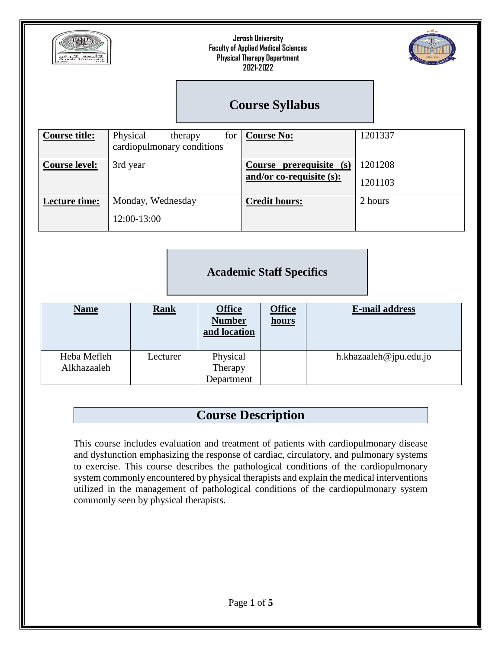



# **Course Syllabus**

| <b>Course title:</b> | Physical<br>for<br>therapy<br>cardiopulmonary conditions | <b>Course No:</b>                                      | 1201337            |
|----------------------|----------------------------------------------------------|--------------------------------------------------------|--------------------|
| <b>Course level:</b> | 3rd year                                                 | Course prerequisite (s)<br>and/or co-requisite $(s)$ : | 1201208<br>1201103 |
| Lecture time:        | Monday, Wednesday<br>12:00-13:00                         | <b>Credit hours:</b>                                   | 2 hours            |

### **Academic Staff Specifics**

| <b>Name</b>                | <b>Rank</b> | <b>Office</b><br><b>Number</b><br>and location | <b>Office</b><br>hours | <b>E-mail address</b>  |
|----------------------------|-------------|------------------------------------------------|------------------------|------------------------|
| Heba Mefleh<br>Alkhazaaleh | Lecturer    | Physical<br>Therapy                            |                        | h.khazaaleh@jpu.edu.jo |
|                            |             | Department                                     |                        |                        |

# **Course Description**

This course includes evaluation and treatment of patients with cardiopulmonary disease and dysfunction emphasizing the response of cardiac, circulatory, and pulmonary systems to exercise. This course describes the pathological conditions of the cardiopulmonary system commonly encountered by physical therapists and explain the medical interventions utilized in the management of pathological conditions of the cardiopulmonary system commonly seen by physical therapists.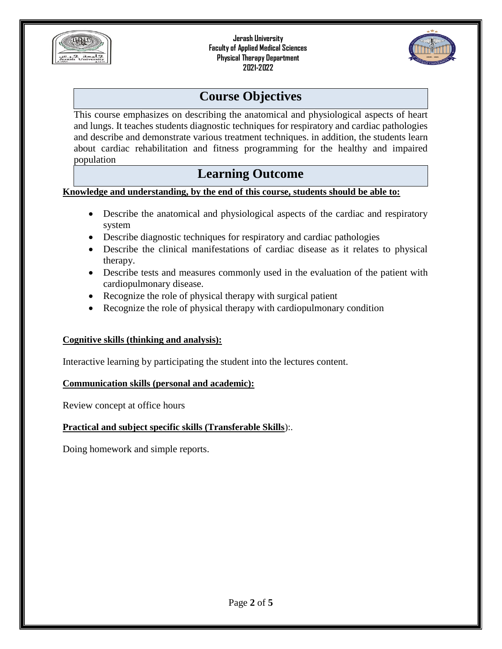



## **Course Objectives**

This course emphasizes on describing the anatomical and physiological aspects of heart and lungs. It teaches students diagnostic techniques for respiratory and cardiac pathologies and describe and demonstrate various treatment techniques. in addition, the students learn about cardiac rehabilitation and fitness programming for the healthy and impaired population

### **Learning Outcome**

### **Knowledge and understanding, by the end of this course, students should be able to:**

- Describe the anatomical and physiological aspects of the cardiac and respiratory system
- Describe diagnostic techniques for respiratory and cardiac pathologies
- Describe the clinical manifestations of cardiac disease as it relates to physical therapy.
- Describe tests and measures commonly used in the evaluation of the patient with cardiopulmonary disease.
- Recognize the role of physical therapy with surgical patient
- Recognize the role of physical therapy with cardiopulmonary condition

### **Cognitive skills (thinking and analysis):**

Interactive learning by participating the student into the lectures content.

### **Communication skills (personal and academic):**

Review concept at office hours

### **Practical and subject specific skills (Transferable Skills**):.

Doing homework and simple reports.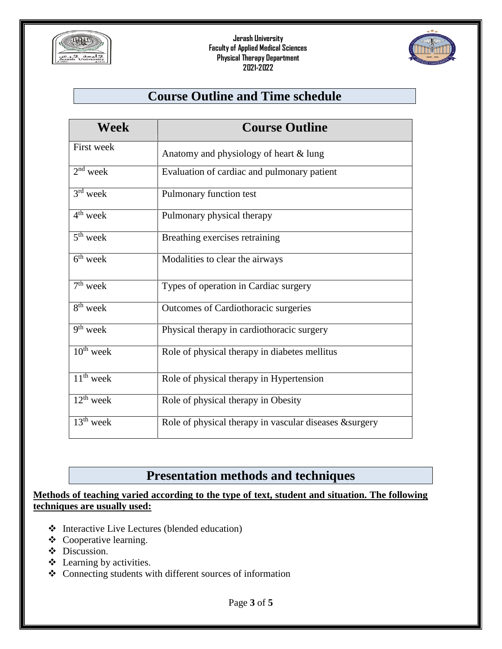



# **Course Outline and Time schedule**

| Week                              | <b>Course Outline</b>                                   |
|-----------------------------------|---------------------------------------------------------|
| First week                        | Anatomy and physiology of heart & lung                  |
| $2nd$ week                        | Evaluation of cardiac and pulmonary patient             |
| $3rd$ week                        | Pulmonary function test                                 |
| $4th$ week                        | Pulmonary physical therapy                              |
| $5th$ week                        | Breathing exercises retraining                          |
| $6th$ week                        | Modalities to clear the airways                         |
| $\overline{7}$ <sup>th</sup> week | Types of operation in Cardiac surgery                   |
| $\overline{8^{th}}$ week          | Outcomes of Cardiothoracic surgeries                    |
| $9th$ week                        | Physical therapy in cardiothoracic surgery              |
| $10th$ week                       | Role of physical therapy in diabetes mellitus           |
| $\overline{11^{th}}$ week         | Role of physical therapy in Hypertension                |
| $12th$ week                       | Role of physical therapy in Obesity                     |
| $13th$ week                       | Role of physical therapy in vascular diseases & surgery |

# **Presentation methods and techniques**

### **Methods of teaching varied according to the type of text, student and situation. The following techniques are usually used:**

- Interactive Live Lectures (blended education)
- Cooperative learning.
- Discussion.
- Learning by activities.
- Connecting students with different sources of information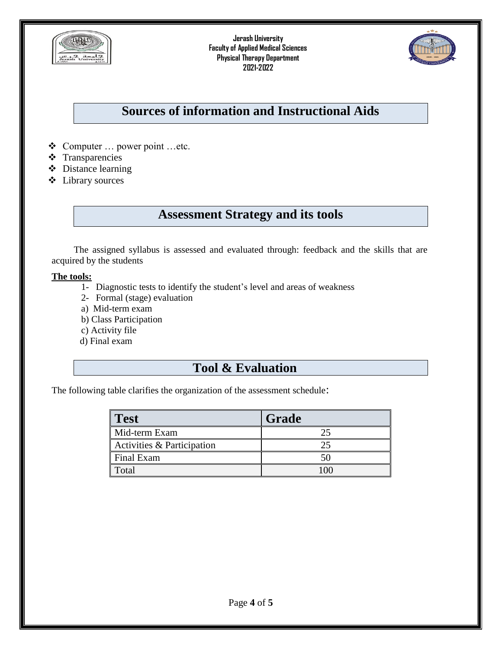



# **Sources of information and Instructional Aids**

- Computer … power point …etc.
- **❖** Transparencies
- Distance learning
- Library sources

## **Assessment Strategy and its tools**

The assigned syllabus is assessed and evaluated through: feedback and the skills that are acquired by the students

#### **The tools:**

- 1- Diagnostic tests to identify the student's level and areas of weakness
- 2- Formal (stage) evaluation
- a) Mid-term exam
- b) Class Participation
- c) Activity file
- d) Final exam

### **Tool & Evaluation**

The following table clarifies the organization of the assessment schedule:

| <b>Test</b>                           | Grade |
|---------------------------------------|-------|
| Mid-term Exam                         |       |
| <b>Activities &amp; Participation</b> |       |
| Final Exam                            |       |
| Total                                 |       |